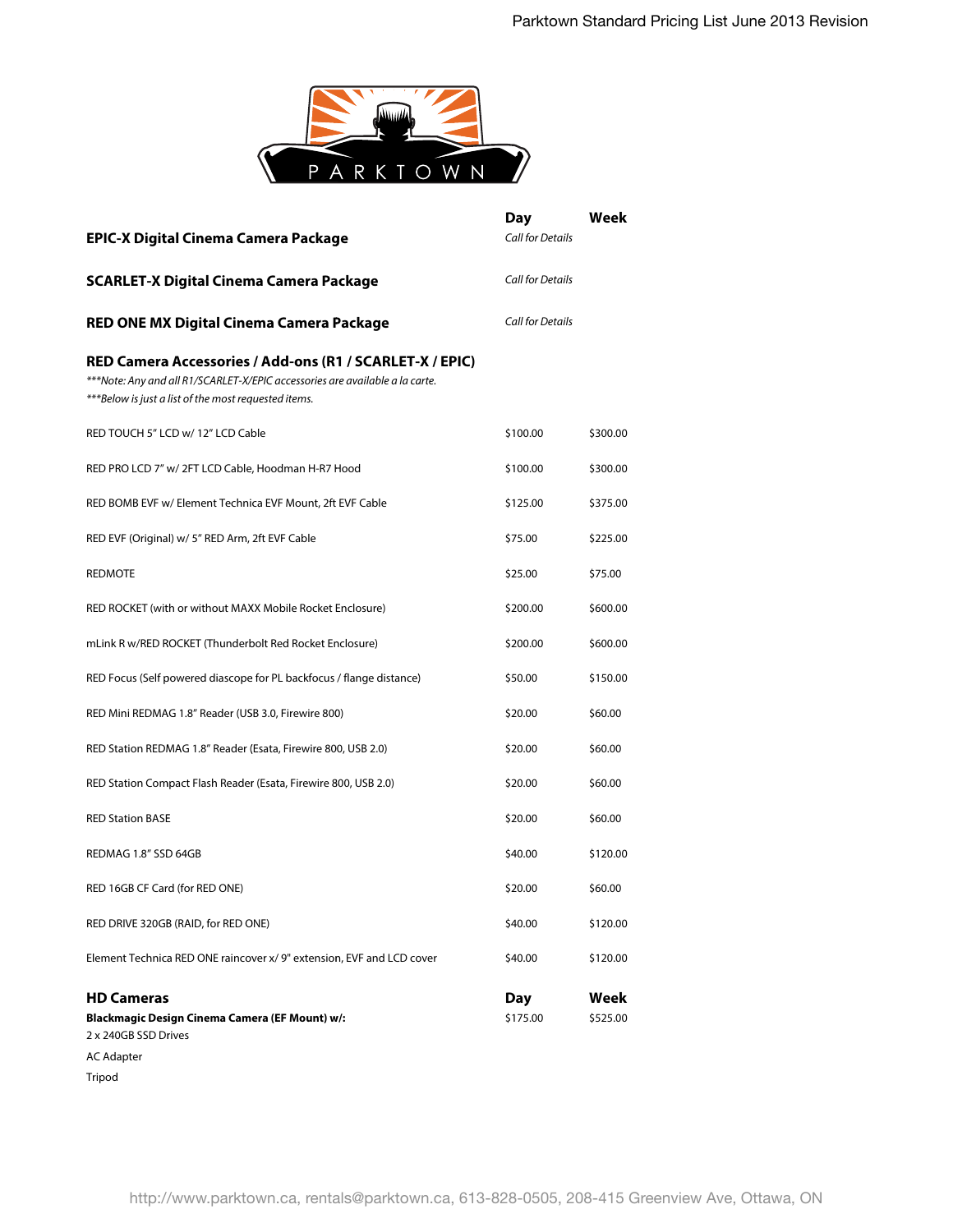

| <b>EPIC-X Digital Cinema Camera Package</b>                                                                                                                                                      | Day<br><b>Call for Details</b> | Week             |
|--------------------------------------------------------------------------------------------------------------------------------------------------------------------------------------------------|--------------------------------|------------------|
| <b>SCARLET-X Digital Cinema Camera Package</b>                                                                                                                                                   | <b>Call for Details</b>        |                  |
| RED ONE MX Digital Cinema Camera Package                                                                                                                                                         | Call for Details               |                  |
| RED Camera Accessories / Add-ons (R1 / SCARLET-X / EPIC)<br>***Note: Any and all R1/SCARLET-X/EPIC accessories are available a la carte.<br>***Below is just a list of the most requested items. |                                |                  |
| RED TOUCH 5" LCD w/ 12" LCD Cable                                                                                                                                                                | \$100.00                       | \$300.00         |
| RED PRO LCD 7" w/ 2FT LCD Cable, Hoodman H-R7 Hood                                                                                                                                               | \$100.00                       | \$300.00         |
| RED BOMB EVF w/ Element Technica EVF Mount, 2ft EVF Cable                                                                                                                                        | \$125.00                       | \$375.00         |
| RED EVF (Original) w/ 5" RED Arm, 2ft EVF Cable                                                                                                                                                  | \$75.00                        | \$225.00         |
| <b>REDMOTE</b>                                                                                                                                                                                   | \$25.00                        | \$75.00          |
| RED ROCKET (with or without MAXX Mobile Rocket Enclosure)                                                                                                                                        | \$200.00                       | \$600.00         |
| mLink R w/RED ROCKET (Thunderbolt Red Rocket Enclosure)                                                                                                                                          | \$200.00                       | \$600.00         |
| RED Focus (Self powered diascope for PL backfocus / flange distance)                                                                                                                             | \$50.00                        | \$150.00         |
| RED Mini REDMAG 1.8" Reader (USB 3.0, Firewire 800)                                                                                                                                              | \$20.00                        | \$60.00          |
| RED Station REDMAG 1.8" Reader (Esata, Firewire 800, USB 2.0)                                                                                                                                    | \$20.00                        | \$60.00          |
| RED Station Compact Flash Reader (Esata, Firewire 800, USB 2.0)                                                                                                                                  | \$20.00                        | \$60.00          |
| <b>RED Station BASE</b>                                                                                                                                                                          | \$20.00                        | \$60.00          |
| REDMAG 1.8" SSD 64GB                                                                                                                                                                             | \$40.00                        | \$120.00         |
| RED 16GB CF Card (for RED ONE)                                                                                                                                                                   | \$20.00                        | \$60.00          |
| RED DRIVE 320GB (RAID, for RED ONE)                                                                                                                                                              | \$40.00                        | \$120.00         |
| Element Technica RED ONE raincover x/ 9" extension, EVF and LCD cover                                                                                                                            | \$40.00                        | \$120.00         |
| <b>HD Cameras</b><br>Blackmagic Design Cinema Camera (EF Mount) w/:<br>2 x 240GB SSD Drives<br><b>AC Adapter</b>                                                                                 | Day<br>\$175.00                | Week<br>\$525.00 |

Tripod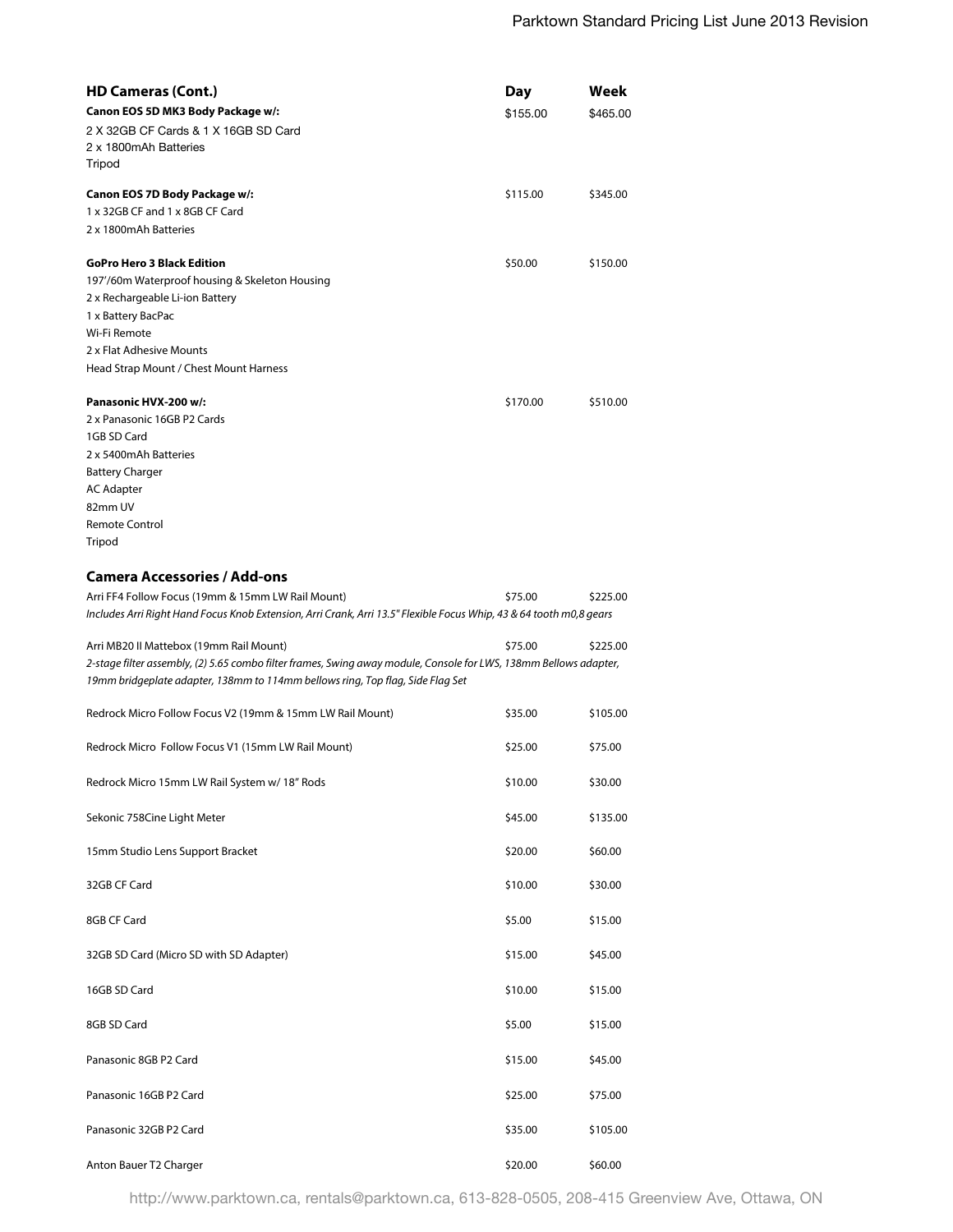| <b>HD Cameras (Cont.)</b>                                                                                           | Day      | Week     |
|---------------------------------------------------------------------------------------------------------------------|----------|----------|
| Canon EOS 5D MK3 Body Package w/:                                                                                   | \$155.00 | \$465.00 |
| 2 X 32GB CF Cards & 1 X 16GB SD Card                                                                                |          |          |
| 2 x 1800mAh Batteries                                                                                               |          |          |
| Tripod                                                                                                              |          |          |
| Canon EOS 7D Body Package w/:                                                                                       | \$115.00 | \$345.00 |
| 1 x 32GB CF and 1 x 8GB CF Card                                                                                     |          |          |
| 2 x 1800mAh Batteries                                                                                               |          |          |
| <b>GoPro Hero 3 Black Edition</b>                                                                                   | \$50.00  | \$150.00 |
| 197'/60m Waterproof housing & Skeleton Housing                                                                      |          |          |
| 2 x Rechargeable Li-ion Battery                                                                                     |          |          |
| 1 x Battery BacPac                                                                                                  |          |          |
| Wi-Fi Remote                                                                                                        |          |          |
| 2 x Flat Adhesive Mounts                                                                                            |          |          |
| Head Strap Mount / Chest Mount Harness                                                                              |          |          |
| Panasonic HVX-200 w/:                                                                                               | \$170.00 | \$510.00 |
| 2 x Panasonic 16GB P2 Cards                                                                                         |          |          |
| 1GB SD Card                                                                                                         |          |          |
| 2 x 5400mAh Batteries                                                                                               |          |          |
| <b>Battery Charger</b>                                                                                              |          |          |
| <b>AC Adapter</b>                                                                                                   |          |          |
| 82mm UV                                                                                                             |          |          |
| <b>Remote Control</b>                                                                                               |          |          |
| Tripod                                                                                                              |          |          |
|                                                                                                                     |          |          |
| <b>Camera Accessories / Add-ons</b>                                                                                 |          |          |
| Arri FF4 Follow Focus (19mm & 15mm LW Rail Mount)                                                                   | \$75.00  | \$225.00 |
| Includes Arri Right Hand Focus Knob Extension, Arri Crank, Arri 13.5" Flexible Focus Whip, 43 & 64 tooth m0,8 gears |          |          |
| Arri MB20 II Mattebox (19mm Rail Mount)                                                                             | \$75.00  | \$225.00 |
| 2-stage filter assembly, (2) 5.65 combo filter frames, Swing away module, Console for LWS, 138mm Bellows adapter,   |          |          |
| 19mm bridgeplate adapter, 138mm to 114mm bellows ring, Top flag, Side Flag Set                                      |          |          |
|                                                                                                                     |          |          |
| Redrock Micro Follow Focus V2 (19mm & 15mm LW Rail Mount)                                                           | \$35.00  | \$105.00 |
| Redrock Micro Follow Focus V1 (15mm LW Rail Mount)                                                                  | \$25.00  | \$75.00  |
|                                                                                                                     |          |          |
| Redrock Micro 15mm LW Rail System w/ 18" Rods                                                                       | \$10.00  | \$30.00  |
| Sekonic 758Cine Light Meter                                                                                         | \$45.00  | \$135.00 |
|                                                                                                                     |          |          |
| 15mm Studio Lens Support Bracket                                                                                    | \$20.00  | \$60.00  |
| 32GB CF Card                                                                                                        | \$10.00  | \$30.00  |
|                                                                                                                     |          |          |
| 8GB CF Card                                                                                                         | \$5.00   | \$15.00  |
| 32GB SD Card (Micro SD with SD Adapter)                                                                             | \$15.00  | \$45.00  |
|                                                                                                                     |          |          |
| 16GB SD Card                                                                                                        | \$10.00  | \$15.00  |
| 8GB SD Card                                                                                                         | \$5.00   | \$15.00  |
|                                                                                                                     |          |          |
| Panasonic 8GB P2 Card                                                                                               | \$15.00  | \$45.00  |
|                                                                                                                     |          |          |
| Panasonic 16GB P2 Card                                                                                              | \$25.00  | \$75.00  |
| Panasonic 32GB P2 Card                                                                                              | \$35.00  | \$105.00 |
|                                                                                                                     |          |          |
| Anton Bauer T2 Charger                                                                                              | \$20.00  | \$60.00  |

http://www.parktown.ca, rentals@parktown.ca, 613-828-0505, 208-415 Greenview Ave, Ottawa, ON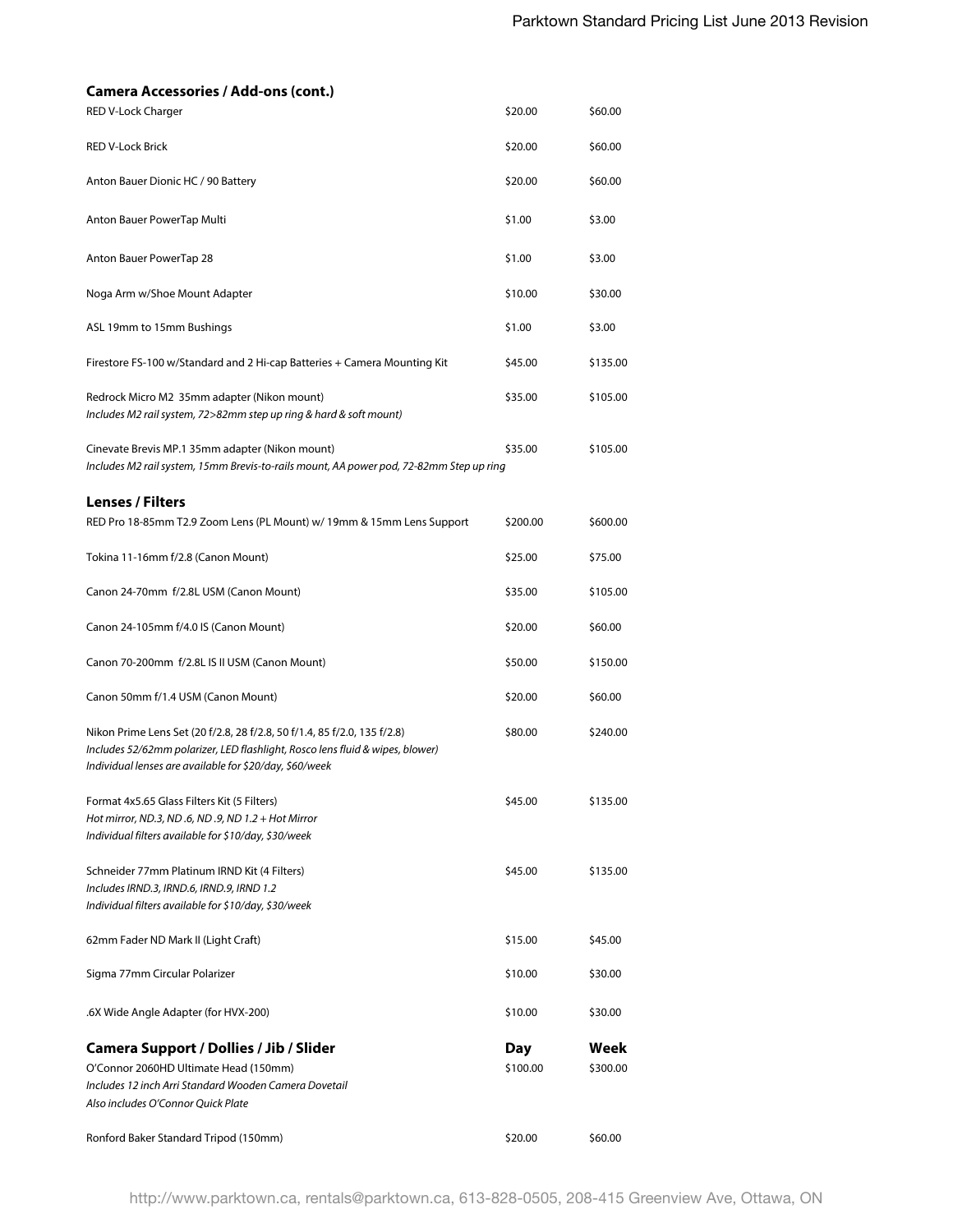| <b>Camera Accessories / Add-ons (cont.)</b>                                                                                                                                                                          |          |          |
|----------------------------------------------------------------------------------------------------------------------------------------------------------------------------------------------------------------------|----------|----------|
| RED V-Lock Charger                                                                                                                                                                                                   | \$20.00  | \$60.00  |
| <b>RED V-Lock Brick</b>                                                                                                                                                                                              | \$20.00  | \$60.00  |
| Anton Bauer Dionic HC / 90 Battery                                                                                                                                                                                   | \$20.00  | \$60.00  |
| Anton Bauer PowerTap Multi                                                                                                                                                                                           | \$1.00   | \$3.00   |
| Anton Bauer PowerTap 28                                                                                                                                                                                              | \$1.00   | \$3.00   |
| Noga Arm w/Shoe Mount Adapter                                                                                                                                                                                        | \$10.00  | \$30.00  |
| ASL 19mm to 15mm Bushings                                                                                                                                                                                            | \$1.00   | \$3.00   |
| Firestore FS-100 w/Standard and 2 Hi-cap Batteries + Camera Mounting Kit                                                                                                                                             | \$45.00  | \$135.00 |
| Redrock Micro M2 35mm adapter (Nikon mount)<br>Includes M2 rail system, 72>82mm step up ring & hard & soft mount)                                                                                                    | \$35.00  | \$105.00 |
| Cinevate Brevis MP.1 35mm adapter (Nikon mount)<br>Includes M2 rail system, 15mm Brevis-to-rails mount, AA power pod, 72-82mm Step up ring                                                                           | \$35.00  | \$105.00 |
| <b>Lenses / Filters</b>                                                                                                                                                                                              |          |          |
| RED Pro 18-85mm T2.9 Zoom Lens (PL Mount) w/ 19mm & 15mm Lens Support                                                                                                                                                | \$200.00 | \$600.00 |
| Tokina 11-16mm f/2.8 (Canon Mount)                                                                                                                                                                                   | \$25.00  | \$75.00  |
| Canon 24-70mm f/2.8L USM (Canon Mount)                                                                                                                                                                               | \$35.00  | \$105.00 |
| Canon 24-105mm f/4.0 IS (Canon Mount)                                                                                                                                                                                | \$20.00  | \$60.00  |
| Canon 70-200mm f/2.8L IS II USM (Canon Mount)                                                                                                                                                                        | \$50.00  | \$150.00 |
| Canon 50mm f/1.4 USM (Canon Mount)                                                                                                                                                                                   | \$20.00  | \$60.00  |
| Nikon Prime Lens Set (20 f/2.8, 28 f/2.8, 50 f/1.4, 85 f/2.0, 135 f/2.8)<br>Includes 52/62mm polarizer, LED flashlight, Rosco lens fluid & wipes, blower)<br>Individual lenses are available for \$20/day, \$60/week | \$80.00  | \$240.00 |
| Format 4x5.65 Glass Filters Kit (5 Filters)<br>Hot mirror, ND.3, ND .6, ND .9, ND 1.2 + Hot Mirror<br>Individual filters available for \$10/day, \$30/week                                                           | \$45.00  | \$135.00 |
| Schneider 77mm Platinum IRND Kit (4 Filters)<br>Includes IRND.3, IRND.6, IRND.9, IRND 1.2<br>Individual filters available for \$10/day, \$30/week                                                                    | \$45.00  | \$135.00 |
| 62mm Fader ND Mark II (Light Craft)                                                                                                                                                                                  | \$15.00  | \$45.00  |
| Sigma 77mm Circular Polarizer                                                                                                                                                                                        | \$10.00  | \$30.00  |
| .6X Wide Angle Adapter (for HVX-200)                                                                                                                                                                                 | \$10.00  | \$30.00  |
| Camera Support / Dollies / Jib / Slider                                                                                                                                                                              | Day      | Week     |
| O'Connor 2060HD Ultimate Head (150mm)                                                                                                                                                                                | \$100.00 | \$300.00 |
| Includes 12 inch Arri Standard Wooden Camera Dovetail                                                                                                                                                                |          |          |
| Also includes O'Connor Ouick Plate                                                                                                                                                                                   |          |          |
| Ronford Baker Standard Tripod (150mm)                                                                                                                                                                                | \$20.00  | \$60.00  |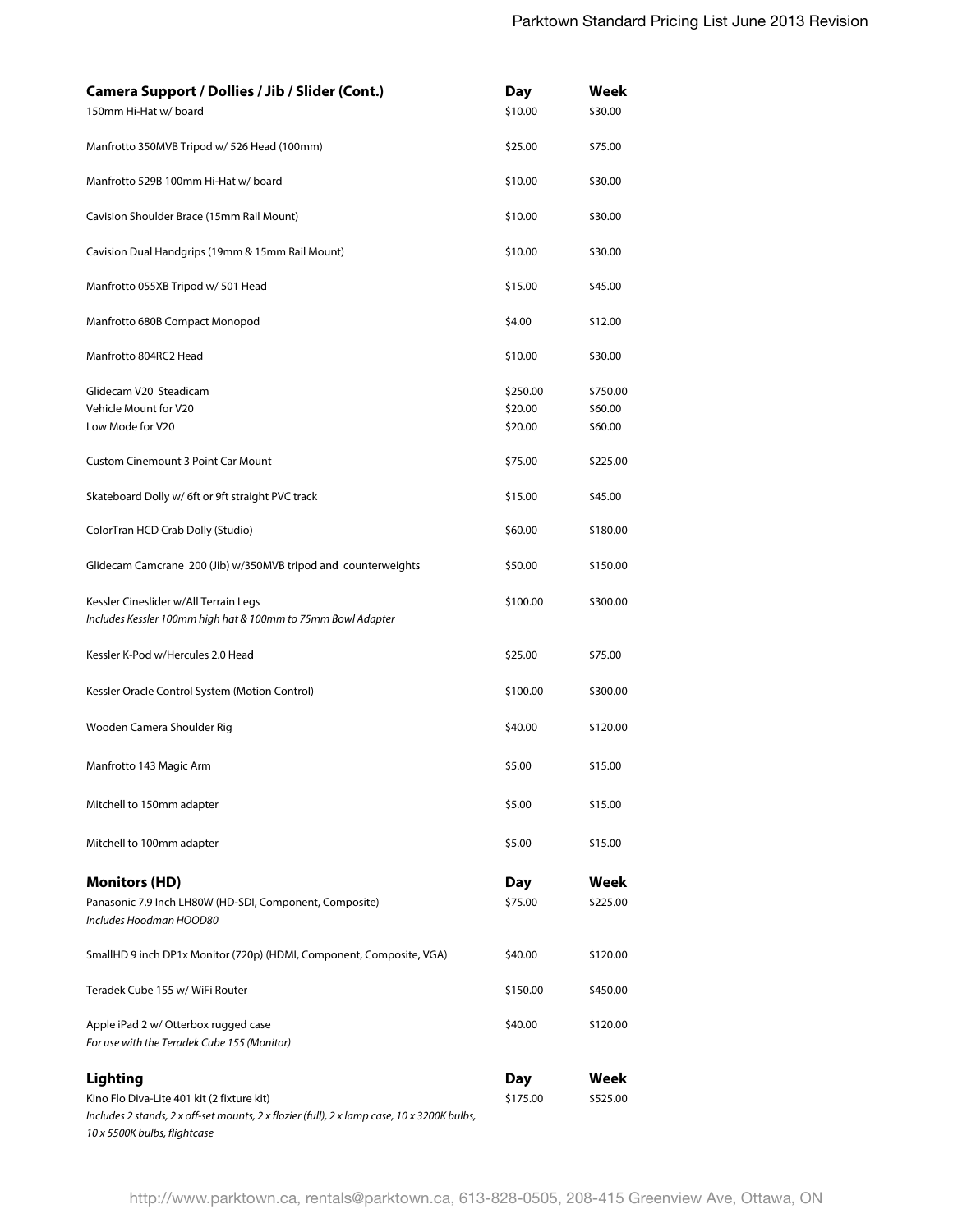| Camera Support / Dollies / Jib / Slider (Cont.)                                                       | Day      | Week     |
|-------------------------------------------------------------------------------------------------------|----------|----------|
| 150mm Hi-Hat w/ board                                                                                 | \$10.00  | \$30.00  |
| Manfrotto 350MVB Tripod w/ 526 Head (100mm)                                                           | \$25.00  | \$75.00  |
| Manfrotto 529B 100mm Hi-Hat w/board                                                                   | \$10.00  | \$30.00  |
| Cavision Shoulder Brace (15mm Rail Mount)                                                             | \$10.00  | \$30.00  |
| Cavision Dual Handgrips (19mm & 15mm Rail Mount)                                                      | \$10.00  | \$30.00  |
| Manfrotto 055XB Tripod w/ 501 Head                                                                    | \$15.00  | \$45.00  |
| Manfrotto 680B Compact Monopod                                                                        | \$4.00   | \$12.00  |
| Manfrotto 804RC2 Head                                                                                 | \$10.00  | \$30.00  |
| Glidecam V20 Steadicam                                                                                | \$250.00 | \$750.00 |
| Vehicle Mount for V20                                                                                 | \$20.00  | \$60.00  |
| Low Mode for V20                                                                                      | \$20.00  | \$60.00  |
| <b>Custom Cinemount 3 Point Car Mount</b>                                                             | \$75.00  | \$225.00 |
| Skateboard Dolly w/ 6ft or 9ft straight PVC track                                                     | \$15.00  | \$45.00  |
| ColorTran HCD Crab Dolly (Studio)                                                                     | \$60.00  | \$180.00 |
| Glidecam Camcrane 200 (Jib) w/350MVB tripod and counterweights                                        | \$50.00  | \$150.00 |
| Kessler Cineslider w/All Terrain Legs<br>Includes Kessler 100mm high hat & 100mm to 75mm Bowl Adapter | \$100.00 | \$300.00 |
|                                                                                                       |          |          |
| Kessler K-Pod w/Hercules 2.0 Head                                                                     | \$25.00  | \$75.00  |
| Kessler Oracle Control System (Motion Control)                                                        | \$100.00 | \$300.00 |
| Wooden Camera Shoulder Rig                                                                            | \$40.00  | \$120.00 |
| Manfrotto 143 Magic Arm                                                                               | \$5.00   | \$15.00  |
| Mitchell to 150mm adapter                                                                             | \$5.00   | \$15.00  |
| Mitchell to 100mm adapter                                                                             | \$5.00   | \$15.00  |
| <b>Monitors (HD)</b>                                                                                  | Day      | Week     |
| Panasonic 7.9 Inch LH80W (HD-SDI, Component, Composite)                                               | \$75.00  | \$225.00 |
| Includes Hoodman HOOD80                                                                               |          |          |
| SmallHD 9 inch DP1x Monitor (720p) (HDMI, Component, Composite, VGA)                                  | \$40.00  | \$120.00 |
| Teradek Cube 155 w/ WiFi Router                                                                       | \$150.00 | \$450.00 |
| Apple iPad 2 w/ Otterbox rugged case<br>For use with the Teradek Cube 155 (Monitor)                   | \$40.00  | \$120.00 |
| Lighting                                                                                              | Day      | Week     |
| Kino Flo Diva-Lite 401 kit (2 fixture kit)                                                            | \$175.00 | \$525.00 |
| Includes 2 stands, 2 x off-set mounts, 2 x flozier (full), 2 x lamp case, 10 x 3200K bulbs,           |          |          |
| 10 x 5500K bulbs, flightcase                                                                          |          |          |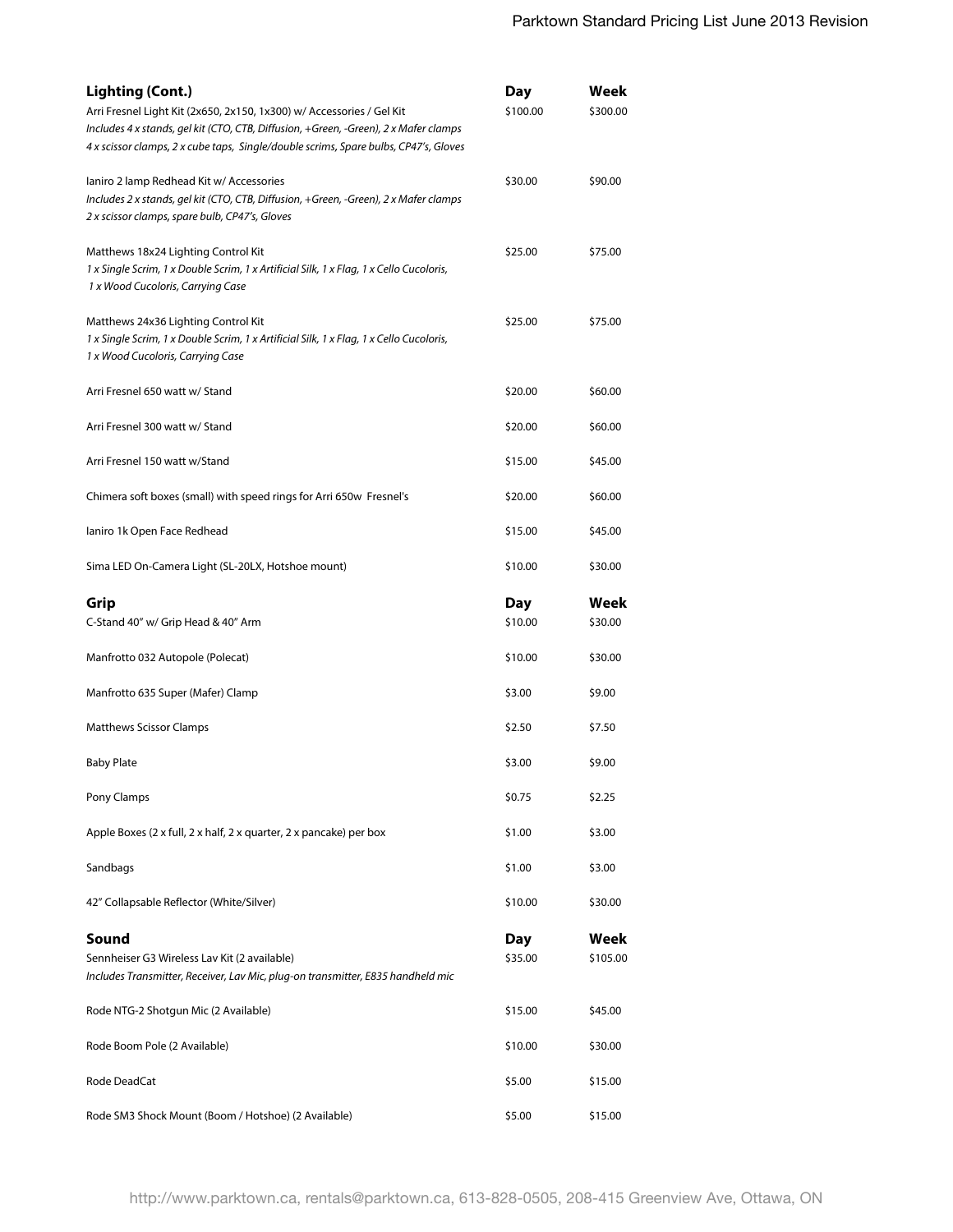| <b>Lighting (Cont.)</b><br>Arri Fresnel Light Kit (2x650, 2x150, 1x300) w/ Accessories / Gel Kit<br>Includes 4 x stands, gel kit (CTO, CTB, Diffusion, +Green, -Green), 2 x Mafer clamps<br>4 x scissor clamps, 2 x cube taps, Single/double scrims, Spare bulbs, CP47's, Gloves | <b>Day</b><br>\$100.00 | Week<br>\$300.00 |
|----------------------------------------------------------------------------------------------------------------------------------------------------------------------------------------------------------------------------------------------------------------------------------|------------------------|------------------|
| laniro 2 lamp Redhead Kit w/ Accessories<br>Includes 2 x stands, gel kit (CTO, CTB, Diffusion, +Green, -Green), 2 x Mafer clamps<br>2 x scissor clamps, spare bulb, CP47's, Gloves                                                                                               | \$30.00                | \$90.00          |
| Matthews 18x24 Lighting Control Kit<br>1 x Single Scrim, 1 x Double Scrim, 1 x Artificial Silk, 1 x Flag, 1 x Cello Cucoloris,<br>1 x Wood Cucoloris, Carrying Case                                                                                                              | \$25.00                | \$75.00          |
| Matthews 24x36 Lighting Control Kit<br>1 x Single Scrim, 1 x Double Scrim, 1 x Artificial Silk, 1 x Flag, 1 x Cello Cucoloris,<br>1 x Wood Cucoloris, Carrying Case                                                                                                              | \$25.00                | \$75.00          |
| Arri Fresnel 650 watt w/ Stand                                                                                                                                                                                                                                                   | \$20.00                | \$60.00          |
| Arri Fresnel 300 watt w/ Stand                                                                                                                                                                                                                                                   | \$20.00                | \$60.00          |
| Arri Fresnel 150 watt w/Stand                                                                                                                                                                                                                                                    | \$15.00                | \$45.00          |
| Chimera soft boxes (small) with speed rings for Arri 650w Fresnel's                                                                                                                                                                                                              | \$20.00                | \$60.00          |
| laniro 1k Open Face Redhead                                                                                                                                                                                                                                                      | \$15.00                | \$45.00          |
| Sima LED On-Camera Light (SL-20LX, Hotshoe mount)                                                                                                                                                                                                                                | \$10.00                | \$30.00          |
| Grip<br>C-Stand 40" w/ Grip Head & 40" Arm                                                                                                                                                                                                                                       | Day<br>\$10.00         | Week<br>\$30.00  |
| Manfrotto 032 Autopole (Polecat)                                                                                                                                                                                                                                                 | \$10.00                | \$30.00          |
| Manfrotto 635 Super (Mafer) Clamp                                                                                                                                                                                                                                                | \$3.00                 | \$9.00           |
| <b>Matthews Scissor Clamps</b>                                                                                                                                                                                                                                                   | \$2.50                 | \$7.50           |
| <b>Baby Plate</b>                                                                                                                                                                                                                                                                | \$3.00                 | \$9.00           |
| Pony Clamps                                                                                                                                                                                                                                                                      | \$0.75                 | \$2.25           |
| Apple Boxes (2 x full, 2 x half, 2 x quarter, 2 x pancake) per box                                                                                                                                                                                                               | \$1.00                 | \$3.00           |
| Sandbags                                                                                                                                                                                                                                                                         | \$1.00                 | \$3.00           |
| 42" Collapsable Reflector (White/Silver)                                                                                                                                                                                                                                         | \$10.00                | \$30.00          |
| Sound<br>Sennheiser G3 Wireless Lav Kit (2 available)<br>Includes Transmitter, Receiver, Lav Mic, plug-on transmitter, E835 handheld mic                                                                                                                                         | Day<br>\$35.00         | Week<br>\$105.00 |
| Rode NTG-2 Shotgun Mic (2 Available)                                                                                                                                                                                                                                             | \$15.00                | \$45.00          |
| Rode Boom Pole (2 Available)                                                                                                                                                                                                                                                     | \$10.00                | \$30.00          |
| Rode DeadCat                                                                                                                                                                                                                                                                     | \$5.00                 | \$15.00          |
| Rode SM3 Shock Mount (Boom / Hotshoe) (2 Available)                                                                                                                                                                                                                              | \$5.00                 | \$15.00          |